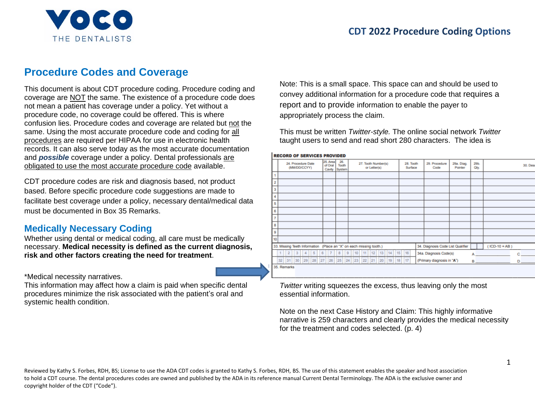

# **Procedure Codes and Coverage**

This document is about CDT procedure coding. Procedure coding and coverage are NOT the same. The existence of a procedure code does not mean a patient has coverage under a policy. Yet without a procedure code, no coverage could be offered. This is where confusion lies. Procedure codes and coverage are related but not the same. Using the most accurate procedure code and coding for all procedures are required per HIPAA for use in electronic health records. It can also serve today as the most accurate documentation and *possible* coverage under a policy. Dental professionals are obligated to use the most accurate procedure code available.

CDT procedure codes are risk and diagnosis based, not product based. Before specific procedure code suggestions are made to facilitate best coverage under a policy, necessary dental/medical data must be documented in Box 35 Remarks.

## **Medically Necessary Coding**

Whether using dental or medical coding, all care must be medically necessary. **Medical necessity is defined as the current diagnosis, risk and other factors creating the need for treatment**.

\*Medical necessity narratives.

This information may affect how a claim is paid when specific dental procedures minimize the risk associated with the patient's oral and systemic health condition.

Note: This is a small space. This space can and should be used to convey additional information for a procedure code that requires a report and to provide information to enable the payer to appropriately process the claim.

This must be written *Twitter-style.* The online social network *Twitter*  taught users to send and read short 280 characters. The idea is

|                |             |    |           |                                    |    |   | <b>RECORD OF SERVICES PROVIDED</b> |                        |          |                                                                     |                     |              |    |    |                      |                                   |                       |              |                       |                       |
|----------------|-------------|----|-----------|------------------------------------|----|---|------------------------------------|------------------------|----------|---------------------------------------------------------------------|---------------------|--------------|----|----|----------------------|-----------------------------------|-----------------------|--------------|-----------------------|-----------------------|
|                |             |    |           | 24. Procedure Date<br>(MM/DD/CCYY) |    |   | 25. Area<br>of Oral<br>Cavity      | 26.<br>Tooth<br>System |          |                                                                     | 27. Tooth Number(s) | or Letter(s) |    |    | 28. Tooth<br>Surface | 29. Procedure<br>Code             | 29a. Diag.<br>Pointer | 29b.<br>Oty. |                       | 30. Desi              |
|                |             |    |           |                                    |    |   |                                    |                        |          |                                                                     |                     |              |    |    |                      |                                   |                       |              |                       |                       |
| $\overline{2}$ |             |    |           |                                    |    |   |                                    |                        |          |                                                                     |                     |              |    |    |                      |                                   |                       |              |                       |                       |
| 3              |             |    |           |                                    |    |   |                                    |                        |          |                                                                     |                     |              |    |    |                      |                                   |                       |              |                       |                       |
| 4              |             |    |           |                                    |    |   |                                    |                        |          |                                                                     |                     |              |    |    |                      |                                   |                       |              |                       |                       |
| 5              |             |    |           |                                    |    |   |                                    |                        |          |                                                                     |                     |              |    |    |                      |                                   |                       |              |                       |                       |
| 6              |             |    |           |                                    |    |   |                                    |                        |          |                                                                     |                     |              |    |    |                      |                                   |                       |              |                       |                       |
| $\overline{7}$ |             |    |           |                                    |    |   |                                    |                        |          |                                                                     |                     |              |    |    |                      |                                   |                       |              |                       |                       |
| 8              |             |    |           |                                    |    |   |                                    |                        |          |                                                                     |                     |              |    |    |                      |                                   |                       |              |                       |                       |
| 9              |             |    |           |                                    |    |   |                                    |                        |          |                                                                     |                     |              |    |    |                      |                                   |                       |              |                       |                       |
| 10             |             |    |           |                                    |    |   |                                    |                        |          |                                                                     |                     |              |    |    |                      |                                   |                       |              |                       |                       |
|                |             |    |           |                                    |    |   |                                    |                        |          | 33. Missing Teeth Information (Place an "X" on each missing tooth.) |                     |              |    |    |                      | 34. Diagnosis Code List Qualifier |                       |              | $ICD-10 = AB$ )       |                       |
|                |             | 2  | $\vert$ 3 | $\overline{4}$                     | 5  | 6 | $\overline{7}$                     | 8                      | $\theta$ | 10                                                                  |                     | 11 12 13     | 14 | 15 | 16                   | 34a. Diagnosis Code(s)            |                       |              | $A_1$ and $A_2$       | $c_{\perp}$           |
|                | 32          | 31 | 30        | 29                                 | 28 |   | 27 28                              | 25                     |          | 24 23                                                               |                     | 22 21 20     | 19 | 18 | 17                   | (Primary diagnosis in "A")        |                       |              | <b>B B <i>B B</i></b> | <b>D</b> <sub>D</sub> |
|                | 35. Remarks |    |           |                                    |    |   |                                    |                        |          |                                                                     |                     |              |    |    |                      |                                   |                       |              |                       |                       |

*Twitter* writing squeezes the excess, thus leaving only the most essential information.

Note on the next Case History and Claim: This highly informative narrative is 259 characters and clearly provides the medical necessity for the treatment and codes selected. (p. 4)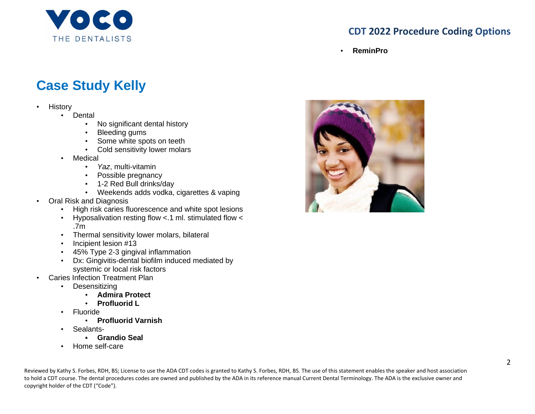

## **CDT 2022 Procedure Coding Options**

• **ReminPro**

# **Case Study Kelly**

- History
	- Dental
		- No significant dental history
		- Bleeding gums
		- Some white spots on teeth
		- Cold sensitivity lower molars
	- Medical
		- *Yaz*, multi-vitamin
		- Possible pregnancy
		- 1-2 Red Bull drinks/day
		- Weekends adds vodka, cigarettes & vaping
- Oral Risk and Diagnosis
	- High risk caries fluorescence and white spot lesions
	- Hyposalivation resting flow <.1 ml. stimulated flow < .7m
	- Thermal sensitivity lower molars, bilateral
	- Incipient lesion #13
	- 45% Type 2-3 gingival inflammation
	- Dx: Gingivitis-dental biofilm induced mediated by systemic or local risk factors
- Caries Infection Treatment Plan
	- Desensitizing
		- **Admira Protect**
		- **Profluorid L**
	- Fluoride
		- **Profluorid Varnish**
	- Sealants-
		- **Grandio Seal**
	- Home self-care

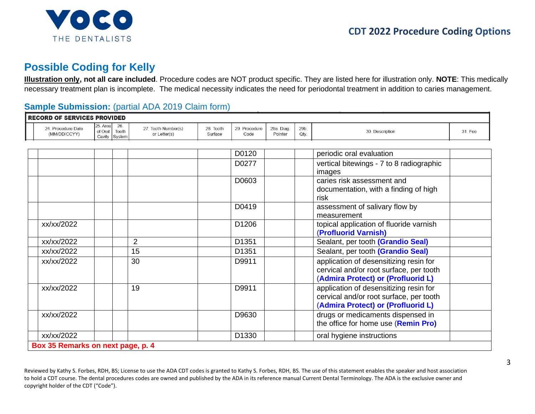

# **Possible Coding for Kelly**

**Illustration only, not all care included**. Procedure codes are NOT product specific. They are listed here for illustration only. **NOTE**: This medically necessary treatment plan is incomplete. The medical necessity indicates the need for periodontal treatment in addition to caries management.

## **Sample Submission:** (partial ADA 2019 Claim form)

| 24. Procedure Date | 25. Area l | 26.                    | 27. Tooth Number(s) | 28. Tooth | 29. Procedure     | 29a. Diag. | 29b. |                                                                                                                         |         |
|--------------------|------------|------------------------|---------------------|-----------|-------------------|------------|------|-------------------------------------------------------------------------------------------------------------------------|---------|
| (MM/DD/CCYY)       | of Oral    | Tooth<br>Cavity System | or Letter(s)        | Surface   | Code              | Pointer    | Qty. | 30. Description                                                                                                         | 31. Fee |
|                    |            |                        |                     |           |                   |            |      |                                                                                                                         |         |
|                    |            |                        |                     |           | D0120             |            |      | periodic oral evaluation                                                                                                |         |
|                    |            |                        |                     |           | D0277             |            |      | vertical bitewings - 7 to 8 radiographic<br>images                                                                      |         |
|                    |            |                        |                     |           | D0603             |            |      | caries risk assessment and<br>documentation, with a finding of high<br>risk                                             |         |
|                    |            |                        |                     |           | D0419             |            |      | assessment of salivary flow by<br>measurement                                                                           |         |
| xx/xx/2022         |            |                        |                     |           | D1206             |            |      | topical application of fluoride varnish<br>(Profluorid Varnish)                                                         |         |
| xx/xx/2022         |            |                        | $\overline{2}$      |           | D1351             |            |      | Sealant, per tooth (Grandio Seal)                                                                                       |         |
| xx/xx/2022         |            |                        | 15                  |           | D1351             |            |      | Sealant, per tooth (Grandio Seal)                                                                                       |         |
| xx/xx/2022         |            |                        | 30                  |           | D9911             |            |      | application of desensitizing resin for<br>cervical and/or root surface, per tooth<br>(Admira Protect) or (Profluorid L) |         |
| xx/xx/2022         |            |                        | 19                  |           | D9911             |            |      | application of desensitizing resin for<br>cervical and/or root surface, per tooth<br>(Admira Protect) or (Profluorid L) |         |
| xx/xx/2022         |            |                        |                     |           | D9630             |            |      | drugs or medicaments dispensed in<br>the office for home use (Remin Pro)                                                |         |
| xx/xx/2022         |            |                        |                     |           | D <sub>1330</sub> |            |      | oral hygiene instructions                                                                                               |         |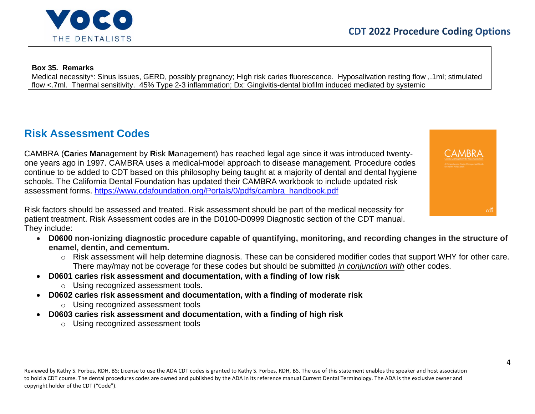

**Box 35. Remarks**

Medical necessity\*: Sinus issues, GERD, possibly pregnancy; High risk caries fluorescence. Hyposalivation resting flow ,.1ml; stimulated flow <.7ml. Thermal sensitivity. 45% Type 2-3 inflammation; Dx: Gingivitis-dental biofilm induced mediated by systemic

# **Risk Assessment Codes**

CAMBRA (**Ca**ries **Ma**nagement by **R**isk **M**anagement) has reached legal age since it was introduced twentyone years ago in 1997. CAMBRA uses a medical-model approach to disease management. Procedure codes continue to be added to CDT based on this philosophy being taught at a majority of dental and dental hygiene schools. The California Dental Foundation has updated their CAMBRA workbook to include updated risk assessment forms. [https://www.cdafoundation.org/Portals/0/pdfs/cambra\\_handbook.pdf](https://www.cdafoundation.org/Portals/0/pdfs/cambra_handbook.pdf)

Risk factors should be assessed and treated. Risk assessment should be part of the medical necessity for patient treatment. Risk Assessment codes are in the D0100-D0999 Diagnostic section of the CDT manual. They include:

- **D0600 non-ionizing diagnostic procedure capable of quantifying, monitoring, and recording changes in the structure of enamel, dentin, and cementum.**
	- o Risk assessment will help determine diagnosis. These can be considered modifier codes that support WHY for other care. There may/may not be coverage for these codes but should be submitted *in conjunction with* other codes.
- **D0601 caries risk assessment and documentation, with a finding of low risk**
	- o Using recognized assessment tools.
- **D0602 caries risk assessment and documentation, with a finding of moderate risk**
	- o Using recognized assessment tools
- **D0603 caries risk assessment and documentation, with a finding of high risk**
	- o Using recognized assessment tools

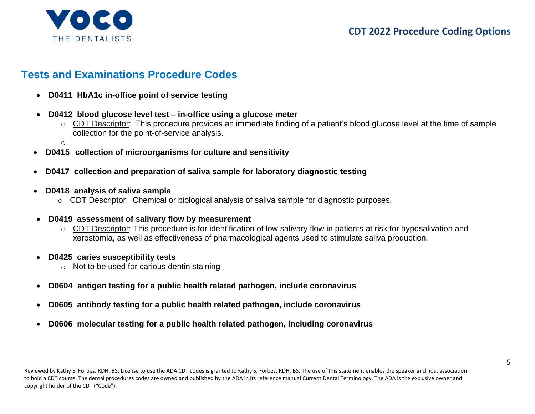

## **Tests and Examinations Procedure Codes**

- **D0411 HbA1c in-office point of service testing**
- **D0412 blood glucose level test – in-office using a glucose meter**
	- o CDT Descriptor: This procedure provides an immediate finding of a patient's blood glucose level at the time of sample collection for the point-of-service analysis.

o

- **D0415 collection of microorganisms for culture and sensitivity**
- **D0417 collection and preparation of saliva sample for laboratory diagnostic testing**
- **D0418 analysis of saliva sample**
	- o CDT Descriptor: Chemical or biological analysis of saliva sample for diagnostic purposes.
- **D0419 assessment of salivary flow by measurement**
	- o CDT Descriptor: This procedure is for identification of low salivary flow in patients at risk for hyposalivation and xerostomia, as well as effectiveness of pharmacological agents used to stimulate saliva production.
- **D0425 caries susceptibility tests**
	- o Not to be used for carious dentin staining
- **D0604 antigen testing for a public health related pathogen, include coronavirus**
- **D0605 antibody testing for a public health related pathogen, include coronavirus**
- **D0606 molecular testing for a public health related pathogen, including coronavirus**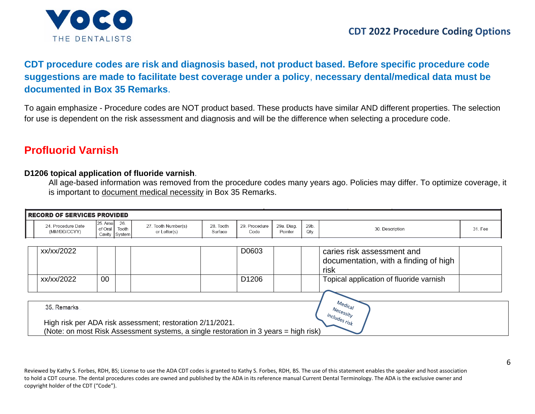

## **CDT procedure codes are risk and diagnosis based, not product based. Before specific procedure code suggestions are made to facilitate best coverage under a policy**, **necessary dental/medical data must be documented in Box 35 Remarks**.

To again emphasize - Procedure codes are NOT product based. These products have similar AND different properties. The selection for use is dependent on the risk assessment and diagnosis and will be the difference when selecting a procedure code.

## **Profluorid Varnish**

#### **D1206 topical application of fluoride varnish**.

All age-based information was removed from the procedure codes many years ago. Policies may differ. To optimize coverage, it is important to document medical necessity in Box 35 Remarks.

| <b>RECORD OF SERVICES PROVIDED</b> |                                                      |                                                                                      |                      |                       |                       |              |                                                                                     |         |
|------------------------------------|------------------------------------------------------|--------------------------------------------------------------------------------------|----------------------|-----------------------|-----------------------|--------------|-------------------------------------------------------------------------------------|---------|
| 24. Procedure Date<br>(MM/DD/CCYY) | 25. Area<br>26.<br>of Oral<br>Tooth<br>Cavity System | 27. Tooth Number(s)<br>or Letter(s)                                                  | 28. Tooth<br>Surface | 29. Procedure<br>Code | 29a. Diag.<br>Pointer | 29b.<br>Qty. | 30. Description                                                                     | 31. Fee |
|                                    |                                                      |                                                                                      |                      |                       |                       |              |                                                                                     |         |
| xx/xx/2022                         |                                                      |                                                                                      |                      | D0603                 |                       |              | caries risk assessment and<br>documentation, with a finding of high<br>risk         |         |
| xx/xx/2022                         | 00                                                   |                                                                                      |                      | D <sub>1206</sub>     |                       |              | Topical application of fluoride varnish                                             |         |
|                                    |                                                      |                                                                                      |                      |                       |                       |              |                                                                                     |         |
| 35. Remarks                        |                                                      | High risk per ADA risk assessment; restoration 2/11/2021.                            |                      |                       |                       |              | $M_{\text{e}q_{\textit{l}_{\text{C}_{\textit{d}}/}}}$<br>Necessity<br>includes risk |         |
|                                    |                                                      | (Note: on most Risk Assessment systems, a single restoration in 3 years = high risk) |                      |                       |                       |              |                                                                                     |         |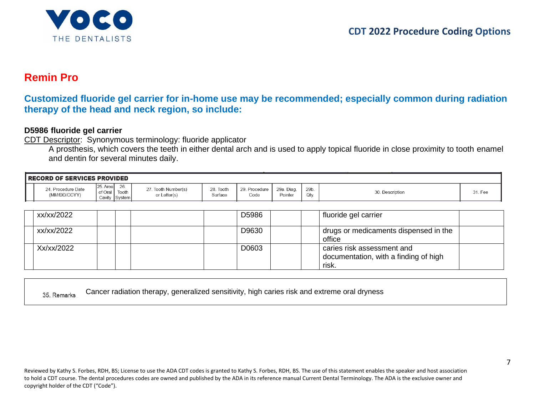

## **Remin Pro**

## **Customized fluoride gel carrier for in-home use may be recommended; especially common during radiation therapy of the head and neck region, so include:**

#### **D5986 fluoride gel carrier**

CDT Descriptor: Synonymous terminology: fluoride applicator

A prosthesis, which covers the teeth in either dental arch and is used to apply topical fluoride in close proximity to tooth enamel and dentin for several minutes daily.

| <b>I RECORD OF SERVICES PROVIDED</b> |                                                         |                                     |                      |                       |                       |              |                 |         |  |  |  |  |  |
|--------------------------------------|---------------------------------------------------------|-------------------------------------|----------------------|-----------------------|-----------------------|--------------|-----------------|---------|--|--|--|--|--|
| 24. Procedure Date<br>(MM/DD/CCYY)   | 26.<br>125. Area I<br>Tooth<br>of Oral<br>Cavity System | 27. Tooth Number(s)<br>or Letter(s) | 28. Tooth<br>Surface | 29. Procedure<br>Code | 29a. Diag.<br>Pointer | 29b.<br>Qty. | 30. Description | 31. Fee |  |  |  |  |  |
|                                      |                                                         |                                     |                      |                       |                       |              |                 |         |  |  |  |  |  |

| xx/xx/2022 |  | D5986 | fluoride gel carrier                                                         |  |
|------------|--|-------|------------------------------------------------------------------------------|--|
| xx/xx/2022 |  | D9630 | drugs or medicaments dispensed in the<br>office                              |  |
| Xx/xx/2022 |  | D0603 | caries risk assessment and<br>documentation, with a finding of high<br>risk. |  |

|            | Cancer radiation therapy, generalized sensitivity, high caries risk and extreme oral dryness |  |  |
|------------|----------------------------------------------------------------------------------------------|--|--|
| 35 Remarks |                                                                                              |  |  |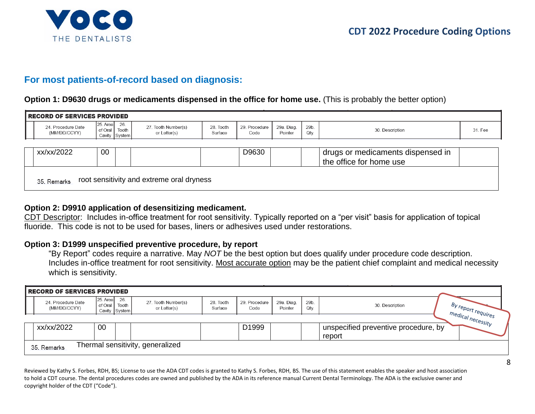

## **For most patients-of-record based on diagnosis:**

#### **Option 1: D9630 drugs or medicaments dispensed in the office for home use.** (This is probably the better option)

|                                                                           | <b>RECORD OF SERVICES PROVIDED</b> |                         |       |                                     |                      |                       |                       |              |                                                              |         |
|---------------------------------------------------------------------------|------------------------------------|-------------------------|-------|-------------------------------------|----------------------|-----------------------|-----------------------|--------------|--------------------------------------------------------------|---------|
|                                                                           | 24. Procedure Date<br>(MM/DD/CCYY) | 25. Area 26.<br>of Oral | Tooth | 27. Tooth Number(s)<br>or Letter(s) | 28. Tooth<br>Surface | 29. Procedure<br>Code | 29a. Diag.<br>Pointer | 29b.<br>Qtv. | 30. Description                                              | 31. Fee |
|                                                                           |                                    |                         |       |                                     |                      |                       |                       |              |                                                              |         |
|                                                                           | xx/xx/2022                         | 00                      |       |                                     |                      | D9630                 |                       |              | drugs or medicaments dispensed in<br>the office for home use |         |
| Cavity System<br>root sensitivity and extreme oral dryness<br>35. Remarks |                                    |                         |       |                                     |                      |                       |                       |              |                                                              |         |

#### **Option 2: D9910 application of desensitizing medicament.**

CDT Descriptor: Includes in-office treatment for root sensitivity. Typically reported on a "per visit" basis for application of topical fluoride. This code is not to be used for bases, liners or adhesives used under restorations.

#### **Option 3: D1999 unspecified preventive procedure, by report**

"By Report" codes require a narrative. May *NOT* be the best option but does qualify under procedure code description. Includes in-office treatment for root sensitivity. Most accurate option may be the patient chief complaint and medical necessity which is sensitivity.

| <b>RECORD OF SERVICES PROVIDED</b> |                        |                               |                                     |                      |                       |                       |              |                                      |                    |
|------------------------------------|------------------------|-------------------------------|-------------------------------------|----------------------|-----------------------|-----------------------|--------------|--------------------------------------|--------------------|
| 24. Procedure Date<br>(MM/DD/CCYY) | $25$ . Area<br>of Oral | 26.<br>Tooth<br>Cavity System | 27. Tooth Number(s)<br>or Letter(s) | 28. Tooth<br>Surface | 29. Procedure<br>Code | 29a. Diag.<br>Pointer | 29b.<br>Qty. | 30. Description                      | By report requires |
|                                    |                        |                               |                                     |                      |                       |                       |              |                                      | medical necessity  |
| xx/xx/2022                         | 00                     |                               |                                     |                      | D <sub>1999</sub>     |                       |              | unspecified preventive procedure, by |                    |
| 35. Remarks                        |                        |                               | Thermal sensitivity, generalized    |                      |                       |                       |              | report                               |                    |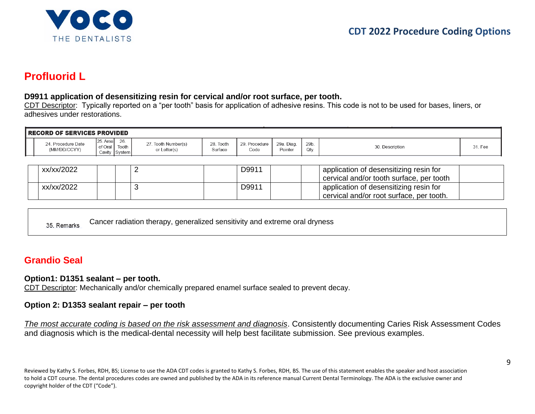

# **Profluorid L**

#### **D9911 application of desensitizing resin for cervical and/or root surface, per tooth.**

CDT Descriptor: Typically reported on a "per tooth" basis for application of adhesive resins. This code is not to be used for bases, liners, or adhesives under restorations.

| <b>I RECORD OF SERVICES PROVIDED</b> |                                                                  |                                     |                         |                       |                       |              |                 |     |  |  |  |  |  |
|--------------------------------------|------------------------------------------------------------------|-------------------------------------|-------------------------|-----------------------|-----------------------|--------------|-----------------|-----|--|--|--|--|--|
| . Procedure Date<br>(MM/DD/CCYY)     | 26<br>125. Area1<br>of Oral<br>Tooth.<br>Cavity<br><b>System</b> | 27. Tooth Number(s)<br>or Letter(s) | Tooth<br>28.<br>Surface | 29. Procedure<br>Code | 29a. Diag.<br>Pointer | 29b.<br>Qty. | 30. Description | Fee |  |  |  |  |  |

| xx/xx/2022 |  | D9911 | application of desensitizing resin for<br>cervical and/or tooth surface, per tooth |
|------------|--|-------|------------------------------------------------------------------------------------|
| xx/xx/2022 |  | D9911 | application of desensitizing resin for<br>cervical and/or root surface, per tooth. |

Cancer radiation therapy, generalized sensitivity and extreme oral dryness 35. Remarks

## **Grandio Seal**

#### **Option1: D1351 sealant – per tooth.**

CDT Descriptor: Mechanically and/or chemically prepared enamel surface sealed to prevent decay.

#### **Option 2: D1353 sealant repair – per tooth**

*The most accurate coding is based on the risk assessment and diagnosis*. Consistently documenting Caries Risk Assessment Codes and diagnosis which is the medical-dental necessity will help best facilitate submission. See previous examples.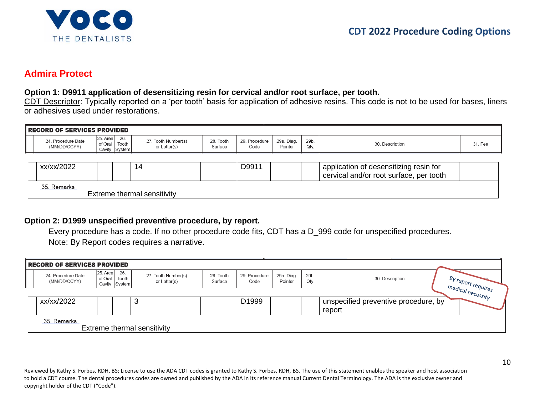

## **Admira Protect**

#### **Option 1: D9911 application of desensitizing resin for cervical and/or root surface, per tooth.**

CDT Descriptor: Typically reported on a 'per tooth' basis for application of adhesive resins. This code is not to be used for bases, liners or adhesives used under restorations.

| <b>RECORD OF SERVICES PROVIDED</b> |                                                                |                                     |                      |                       |                       |             |                                                                                   |         |
|------------------------------------|----------------------------------------------------------------|-------------------------------------|----------------------|-----------------------|-----------------------|-------------|-----------------------------------------------------------------------------------|---------|
| 24. Procedure Date<br>(MM/DD/CCYY) | $25$ . Area $\vert$ 26.<br>Tooth<br>of Oral  <br>Cavity System | 27. Tooth Number(s)<br>or Letter(s) | 28. Tooth<br>Surface | 29. Procedure<br>Code | 29a. Diag.<br>Pointer | 29b<br>Qtv. | 30. Description                                                                   | 31. Fee |
|                                    |                                                                |                                     |                      |                       |                       |             |                                                                                   |         |
| xx/xx/2022                         |                                                                | 14                                  |                      | D9911                 |                       |             | application of desensitizing resin for<br>cervical and/or root surface, per tooth |         |
| 35. Remarks                        |                                                                | Extreme thermal sensitivity         |                      |                       |                       |             |                                                                                   |         |

#### **Option 2: D1999 unspecified preventive procedure, by report.**

Every procedure has a code. If no other procedure code fits, CDT has a D\_999 code for unspecified procedures. Note: By Report codes requires a narrative.

| RECORD OF SERVICES PROVIDED        |                                             |       |                                     |                      |                       |                       |              |                                      |                                                |
|------------------------------------|---------------------------------------------|-------|-------------------------------------|----------------------|-----------------------|-----------------------|--------------|--------------------------------------|------------------------------------------------|
| 24. Procedure Date<br>(MM/DD/CCYY) | 25. Area<br>26.<br>of Oral<br>Cavity System | Tooth | 27. Tooth Number(s)<br>or Letter(s) | 28. Tooth<br>Surface | 29. Procedure<br>Code | 29a. Diag.<br>Pointer | 29b.<br>Qty. | 30. Description                      | $\int$ By report requires<br>medical necessity |
|                                    |                                             |       |                                     |                      |                       |                       |              |                                      |                                                |
| xx/xx/2022                         |                                             |       |                                     |                      | D1999                 |                       |              | unspecified preventive procedure, by |                                                |
|                                    |                                             |       |                                     |                      |                       |                       |              | report                               |                                                |
| 35. Remarks                        |                                             |       |                                     |                      |                       |                       |              |                                      |                                                |
|                                    |                                             |       | Extreme thermal sensitivity         |                      |                       |                       |              |                                      |                                                |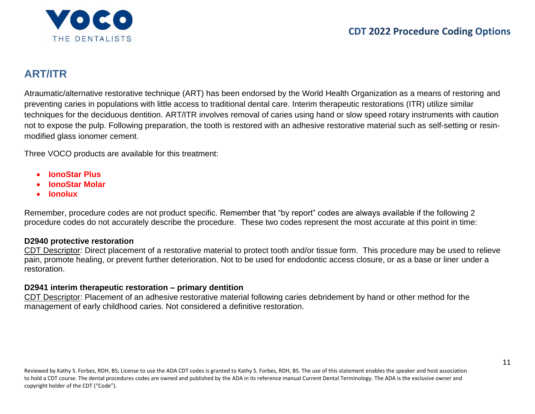

# **ART/ITR**

Atraumatic/alternative restorative technique (ART) has been endorsed by the World Health Organization as a means of restoring and preventing caries in populations with little access to traditional dental care. Interim therapeutic restorations (ITR) utilize similar techniques for the deciduous dentition. ART/ITR involves removal of caries using hand or slow speed rotary instruments with caution not to expose the pulp. Following preparation, the tooth is restored with an adhesive restorative material such as self-setting or resinmodified glass ionomer cement.

Three VOCO products are available for this treatment:

- **IonoStar Plus**
- **IonoStar Molar**
- **Ionolux**

Remember, procedure codes are not product specific. Remember that "by report" codes are always available if the following 2 procedure codes do not accurately describe the procedure. These two codes represent the most accurate at this point in time:

#### **D2940 protective restoration**

CDT Descriptor: Direct placement of a restorative material to protect tooth and/or tissue form. This procedure may be used to relieve pain, promote healing, or prevent further deterioration. Not to be used for endodontic access closure, or as a base or liner under a restoration.

#### **D2941 interim therapeutic restoration – primary dentition**

CDT Descriptor: Placement of an adhesive restorative material following caries debridement by hand or other method for the management of early childhood caries. Not considered a definitive restoration.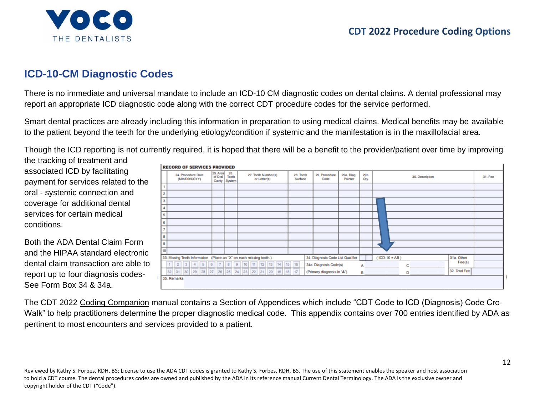# THE DENTALISTS

## **CDT 2022 Procedure Coding Options**

# **ICD-10-CM Diagnostic Codes**

There is no immediate and universal mandate to include an ICD-10 CM diagnostic codes on dental claims. A dental professional may report an appropriate ICD diagnostic code along with the correct CDT procedure codes for the service performed.

Smart dental practices are already including this information in preparation to using medical claims. Medical benefits may be available to the patient beyond the teeth for the underlying etiology/condition if systemic and the manifestation is in the maxillofacial area.

Though the ICD reporting is not currently required, it is hoped that there will be a benefit to the provider/patient over time by improving

the tracking of treatment and associated ICD by facilitating payment for services related to the oral - systemic connection and coverage for additional dental services for certain medical conditions.

Both the ADA Dental Claim Form and the HIPAA standard electronic dental claim transaction are able to report up to four diagnosis codes-See Form Box 34 & 34a.



The CDT 2022 Coding Companion manual contains a Section of Appendices which include "CDT Code to ICD (Diagnosis) Code Cro-Walk" to help practitioners determine the proper diagnostic medical code. This appendix contains over 700 entries identified by ADA as pertinent to most encounters and services provided to a patient.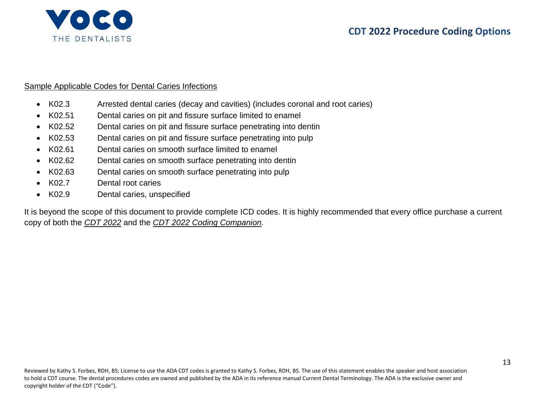

#### Sample Applicable Codes for Dental Caries Infections

- K02.3 Arrested dental caries (decay and cavities) (includes coronal and root caries)
- K02.51 Dental caries on pit and fissure surface limited to enamel
- K02.52 Dental caries on pit and fissure surface penetrating into dentin
- K02.53 Dental caries on pit and fissure surface penetrating into pulp
- K02.61 Dental caries on smooth surface limited to enamel
- K02.62 Dental caries on smooth surface penetrating into dentin
- K02.63 Dental caries on smooth surface penetrating into pulp
- K02.7 Dental root caries
- K02.9 Dental caries, unspecified

It is beyond the scope of this document to provide complete ICD codes. It is highly recommended that every office purchase a current copy of both the *CDT 2022* and the *CDT 2022 Coding Companion.*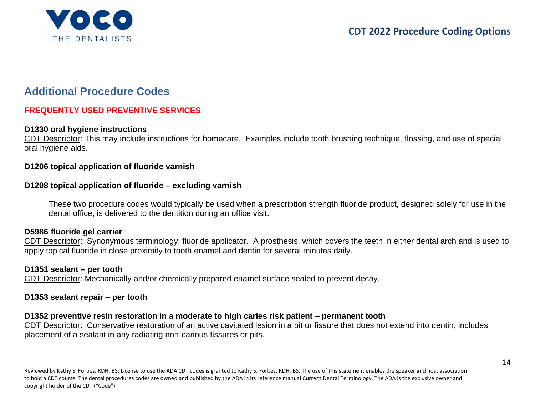

# **Additional Procedure Codes**

### **FREQUENTLY USED PREVENTIVE SERVICES**

#### **D1330 oral hygiene instructions**

CDT Descriptor: This may include instructions for homecare. Examples include tooth brushing technique, flossing, and use of special oral hygiene aids.

#### **D1206 topical application of fluoride varnish**

#### **D1208 topical application of fluoride – excluding varnish**

These two procedure codes would typically be used when a prescription strength fluoride product, designed solely for use in the dental office, is delivered to the dentition during an office visit.

#### **D5986 fluoride gel carrier**

CDT Descriptor: Synonymous terminology: fluoride applicator. A prosthesis, which covers the teeth in either dental arch and is used to apply topical fluoride in close proximity to tooth enamel and dentin for several minutes daily.

#### **D1351 sealant – per tooth**

CDT Descriptor: Mechanically and/or chemically prepared enamel surface sealed to prevent decay.

#### **D1353 sealant repair – per tooth**

#### **D1352 preventive resin restoration in a moderate to high caries risk patient – permanent tooth**

CDT Descriptor: Conservative restoration of an active cavitated lesion in a pit or fissure that does not extend into dentin; includes placement of a sealant in any radiating non-carious fissures or pits.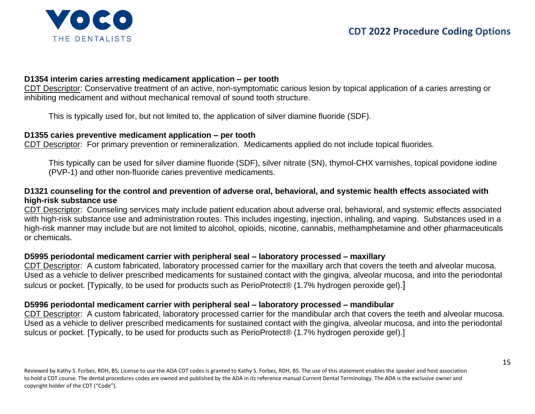

#### **D1354 interim caries arresting medicament application – per tooth**

CDT Descriptor: Conservative treatment of an active, non-symptomatic carious lesion by topical application of a caries arresting or inhibiting medicament and without mechanical removal of sound tooth structure.

This is typically used for, but not limited to, the application of silver diamine fluoride (SDF).

#### **D1355 caries preventive medicament application – per tooth**

CDT Descriptor: For primary prevention or remineralization. Medicaments applied do not include topical fluorides.

This typically can be used for silver diamine fluoride (SDF), silver nitrate (SN), thymol-CHX varnishes, topical povidone iodine (PVP-1) and other non-fluoride caries preventive medicaments.

#### **D1321 counseling for the control and prevention of adverse oral, behavioral, and systemic health effects associated with high-risk substance use**

CDT Descriptor: Counseling services maty include patient education about adverse oral, behavioral, and systemic effects associated with high-risk substance use and administration routes. This includes ingesting, injection, inhaling, and vaping. Substances used in a high-risk manner may include but are not limited to alcohol, opioids, nicotine, cannabis, methamphetamine and other pharmaceuticals or chemicals.

#### **D5995 periodontal medicament carrier with peripheral seal – laboratory processed – maxillary**

CDT Descriptor: A custom fabricated, laboratory processed carrier for the maxillary arch that covers the teeth and alveolar mucosa. Used as a vehicle to deliver prescribed medicaments for sustained contact with the gingiva, alveolar mucosa, and into the periodontal sulcus or pocket. [Typically, to be used for products such as PerioProtect® (1.7% hydrogen peroxide gel).]

#### **D5996 periodontal medicament carrier with peripheral seal – laboratory processed – mandibular**

CDT Descriptor: A custom fabricated, laboratory processed carrier for the mandibular arch that covers the teeth and alveolar mucosa. Used as a vehicle to deliver prescribed medicaments for sustained contact with the gingiva, alveolar mucosa, and into the periodontal sulcus or pocket. [Typically, to be used for products such as PerioProtect® (1.7% hydrogen peroxide gel).]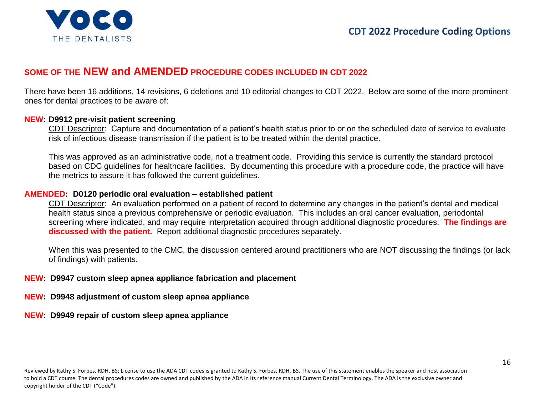

## **SOME OF THE NEW and AMENDED PROCEDURE CODES INCLUDED IN CDT 2022**

There have been 16 additions, 14 revisions, 6 deletions and 10 editorial changes to CDT 2022. Below are some of the more prominent ones for dental practices to be aware of:

#### **NEW: D9912 pre-visit patient screening**

CDT Descriptor: Capture and documentation of a patient's health status prior to or on the scheduled date of service to evaluate risk of infectious disease transmission if the patient is to be treated within the dental practice.

This was approved as an administrative code, not a treatment code. Providing this service is currently the standard protocol based on CDC guidelines for healthcare facilities. By documenting this procedure with a procedure code, the practice will have the metrics to assure it has followed the current guidelines.

#### **AMENDED: D0120 periodic oral evaluation – established patient**

CDT Descriptor: An evaluation performed on a patient of record to determine any changes in the patient's dental and medical health status since a previous comprehensive or periodic evaluation. This includes an oral cancer evaluation, periodontal screening where indicated, and may require interpretation acquired through additional diagnostic procedures. **The findings are discussed with the patient.** Report additional diagnostic procedures separately.

When this was presented to the CMC, the discussion centered around practitioners who are NOT discussing the findings (or lack of findings) with patients.

#### **NEW: D9947 custom sleep apnea appliance fabrication and placement**

**NEW: D9948 adjustment of custom sleep apnea appliance**

**NEW: D9949 repair of custom sleep apnea appliance**